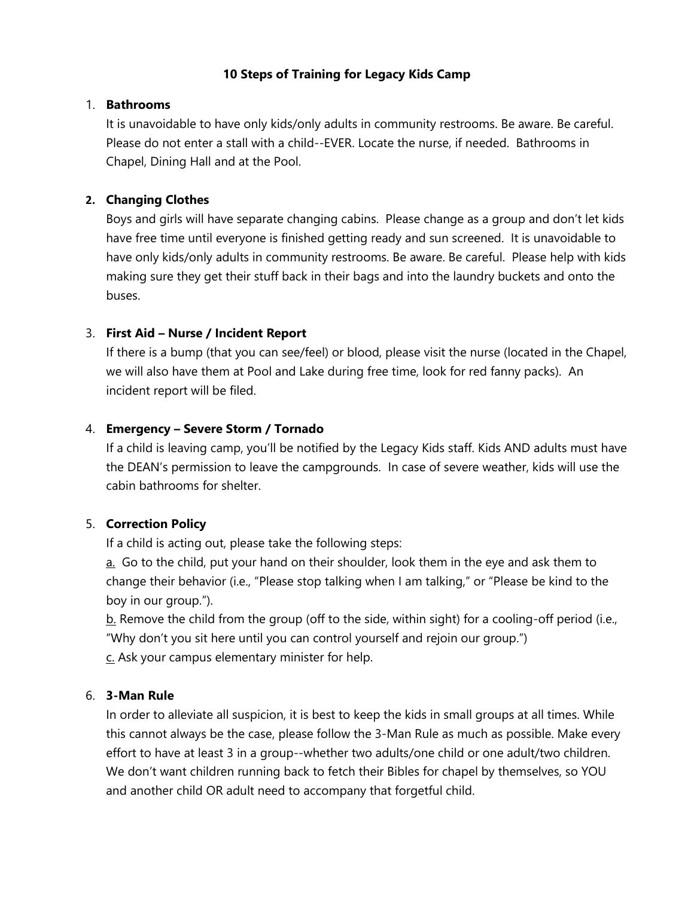### **10 Steps of Training for Legacy Kids Camp**

#### 1. **Bathrooms**

It is unavoidable to have only kids/only adults in community restrooms. Be aware. Be careful. Please do not enter a stall with a child--EVER. Locate the nurse, if needed. Bathrooms in Chapel, Dining Hall and at the Pool.

#### **2. Changing Clothes**

Boys and girls will have separate changing cabins. Please change as a group and don't let kids have free time until everyone is finished getting ready and sun screened. It is unavoidable to have only kids/only adults in community restrooms. Be aware. Be careful. Please help with kids making sure they get their stuff back in their bags and into the laundry buckets and onto the buses.

### 3. **First Aid – Nurse / Incident Report**

If there is a bump (that you can see/feel) or blood, please visit the nurse (located in the Chapel, we will also have them at Pool and Lake during free time, look for red fanny packs). An incident report will be filed.

### 4. **Emergency – Severe Storm / Tornado**

If a child is leaving camp, you'll be notified by the Legacy Kids staff. Kids AND adults must have the DEAN's permission to leave the campgrounds. In case of severe weather, kids will use the cabin bathrooms for shelter.

#### 5. **Correction Policy**

If a child is acting out, please take the following steps:

a. Go to the child, put your hand on their shoulder, look them in the eye and ask them to change their behavior (i.e., "Please stop talking when I am talking," or "Please be kind to the boy in our group.").

b. Remove the child from the group (off to the side, within sight) for a cooling-off period (i.e., "Why don't you sit here until you can control yourself and rejoin our group.")

c. Ask your campus elementary minister for help.

# 6. **3-Man Rule**

In order to alleviate all suspicion, it is best to keep the kids in small groups at all times. While this cannot always be the case, please follow the 3-Man Rule as much as possible. Make every effort to have at least 3 in a group--whether two adults/one child or one adult/two children. We don't want children running back to fetch their Bibles for chapel by themselves, so YOU and another child OR adult need to accompany that forgetful child.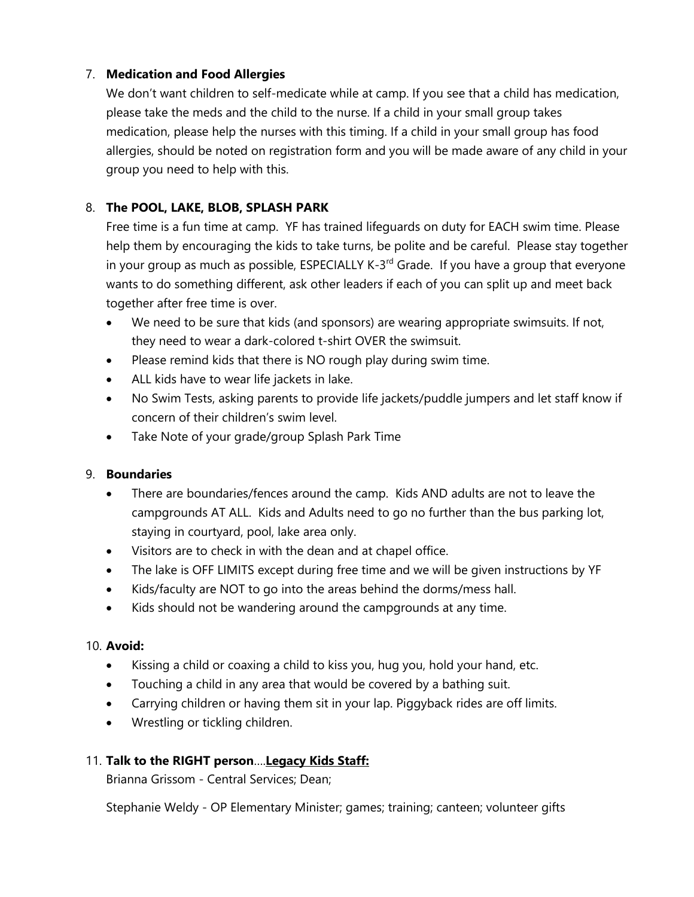### 7. **Medication and Food Allergies**

We don't want children to self-medicate while at camp. If you see that a child has medication, please take the meds and the child to the nurse. If a child in your small group takes medication, please help the nurses with this timing. If a child in your small group has food allergies, should be noted on registration form and you will be made aware of any child in your group you need to help with this.

# 8. **The POOL, LAKE, BLOB, SPLASH PARK**

Free time is a fun time at camp. YF has trained lifeguards on duty for EACH swim time. Please help them by encouraging the kids to take turns, be polite and be careful. Please stay together in your group as much as possible, ESPECIALLY K-3<sup>rd</sup> Grade. If you have a group that everyone wants to do something different, ask other leaders if each of you can split up and meet back together after free time is over.

- We need to be sure that kids (and sponsors) are wearing appropriate swimsuits. If not, they need to wear a dark-colored t-shirt OVER the swimsuit.
- Please remind kids that there is NO rough play during swim time.
- ALL kids have to wear life jackets in lake.
- No Swim Tests, asking parents to provide life jackets/puddle jumpers and let staff know if concern of their children's swim level.
- Take Note of your grade/group Splash Park Time

# 9. **Boundaries**

- There are boundaries/fences around the camp. Kids AND adults are not to leave the campgrounds AT ALL. Kids and Adults need to go no further than the bus parking lot, staying in courtyard, pool, lake area only.
- Visitors are to check in with the dean and at chapel office.
- The lake is OFF LIMITS except during free time and we will be given instructions by YF
- Kids/faculty are NOT to go into the areas behind the dorms/mess hall.
- Kids should not be wandering around the campgrounds at any time.

# 10. **Avoid:**

- Kissing a child or coaxing a child to kiss you, hug you, hold your hand, etc.
- Touching a child in any area that would be covered by a bathing suit.
- Carrying children or having them sit in your lap. Piggyback rides are off limits.
- Wrestling or tickling children.

# 11. **Talk to the RIGHT person**….**Legacy Kids Staff:**

Brianna Grissom - Central Services; Dean;

Stephanie Weldy - OP Elementary Minister; games; training; canteen; volunteer gifts